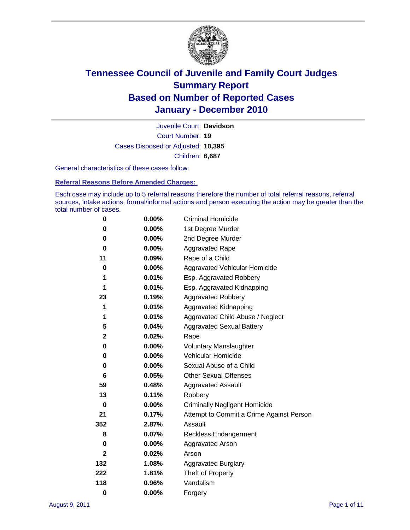

Court Number: **19** Juvenile Court: **Davidson** Cases Disposed or Adjusted: **10,395** Children: **6,687**

General characteristics of these cases follow:

**Referral Reasons Before Amended Charges:** 

Each case may include up to 5 referral reasons therefore the number of total referral reasons, referral sources, intake actions, formal/informal actions and person executing the action may be greater than the total number of cases.

| 0            | $0.00\%$ | <b>Criminal Homicide</b>                 |
|--------------|----------|------------------------------------------|
| 0            | 0.00%    | 1st Degree Murder                        |
| 0            | $0.00\%$ | 2nd Degree Murder                        |
| 0            | $0.00\%$ | <b>Aggravated Rape</b>                   |
| 11           | 0.09%    | Rape of a Child                          |
| 0            | 0.00%    | Aggravated Vehicular Homicide            |
| 1            | 0.01%    | Esp. Aggravated Robbery                  |
| 1            | 0.01%    | Esp. Aggravated Kidnapping               |
| 23           | 0.19%    | <b>Aggravated Robbery</b>                |
| 1            | 0.01%    | Aggravated Kidnapping                    |
| 1            | 0.01%    | Aggravated Child Abuse / Neglect         |
| 5            | 0.04%    | <b>Aggravated Sexual Battery</b>         |
| $\mathbf{2}$ | 0.02%    | Rape                                     |
| 0            | $0.00\%$ | <b>Voluntary Manslaughter</b>            |
| 0            | 0.00%    | Vehicular Homicide                       |
| 0            | 0.00%    | Sexual Abuse of a Child                  |
| 6            | 0.05%    | <b>Other Sexual Offenses</b>             |
| 59           | 0.48%    | <b>Aggravated Assault</b>                |
| 13           | 0.11%    | Robbery                                  |
| 0            | 0.00%    | <b>Criminally Negligent Homicide</b>     |
| 21           | 0.17%    | Attempt to Commit a Crime Against Person |
| 352          | 2.87%    | Assault                                  |
| 8            | 0.07%    | <b>Reckless Endangerment</b>             |
| 0            | 0.00%    | <b>Aggravated Arson</b>                  |
| 2            | 0.02%    | Arson                                    |
| 132          | 1.08%    | <b>Aggravated Burglary</b>               |
| 222          | 1.81%    | Theft of Property                        |
| 118          | 0.96%    | Vandalism                                |
| $\bf{0}$     | 0.00%    | Forgery                                  |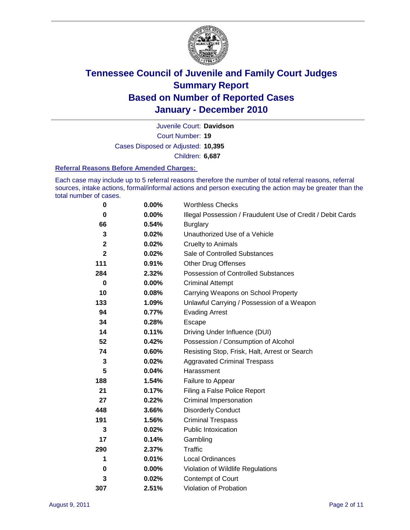

Court Number: **19** Juvenile Court: **Davidson** Cases Disposed or Adjusted: **10,395** Children: **6,687**

#### **Referral Reasons Before Amended Charges:**

Each case may include up to 5 referral reasons therefore the number of total referral reasons, referral sources, intake actions, formal/informal actions and person executing the action may be greater than the total number of cases.

| $\pmb{0}$    | 0.00%    | <b>Worthless Checks</b>                                     |  |  |
|--------------|----------|-------------------------------------------------------------|--|--|
| 0            | $0.00\%$ | Illegal Possession / Fraudulent Use of Credit / Debit Cards |  |  |
| 66           | 0.54%    | <b>Burglary</b>                                             |  |  |
| 3            | 0.02%    | Unauthorized Use of a Vehicle                               |  |  |
| 2            | 0.02%    | <b>Cruelty to Animals</b>                                   |  |  |
| $\mathbf{2}$ | 0.02%    | Sale of Controlled Substances                               |  |  |
| 111          | 0.91%    | <b>Other Drug Offenses</b>                                  |  |  |
| 284          | 2.32%    | Possession of Controlled Substances                         |  |  |
| $\pmb{0}$    | $0.00\%$ | <b>Criminal Attempt</b>                                     |  |  |
| 10           | 0.08%    | Carrying Weapons on School Property                         |  |  |
| 133          | 1.09%    | Unlawful Carrying / Possession of a Weapon                  |  |  |
| 94           | 0.77%    | <b>Evading Arrest</b>                                       |  |  |
| 34           | 0.28%    | Escape                                                      |  |  |
| 14           | 0.11%    | Driving Under Influence (DUI)                               |  |  |
| 52           | 0.42%    | Possession / Consumption of Alcohol                         |  |  |
| 74           | 0.60%    | Resisting Stop, Frisk, Halt, Arrest or Search               |  |  |
| 3            | 0.02%    | <b>Aggravated Criminal Trespass</b>                         |  |  |
| 5            | 0.04%    | Harassment                                                  |  |  |
| 188          | 1.54%    | Failure to Appear                                           |  |  |
| 21           | 0.17%    | Filing a False Police Report                                |  |  |
| 27           | 0.22%    | Criminal Impersonation                                      |  |  |
| 448          | 3.66%    | <b>Disorderly Conduct</b>                                   |  |  |
| 191          | 1.56%    | <b>Criminal Trespass</b>                                    |  |  |
| 3            | 0.02%    | <b>Public Intoxication</b>                                  |  |  |
| 17           | 0.14%    | Gambling                                                    |  |  |
| 290          | 2.37%    | Traffic                                                     |  |  |
| 1            | 0.01%    | <b>Local Ordinances</b>                                     |  |  |
| 0            | 0.00%    | Violation of Wildlife Regulations                           |  |  |
| 3            | 0.02%    | Contempt of Court                                           |  |  |
| 307          | 2.51%    | Violation of Probation                                      |  |  |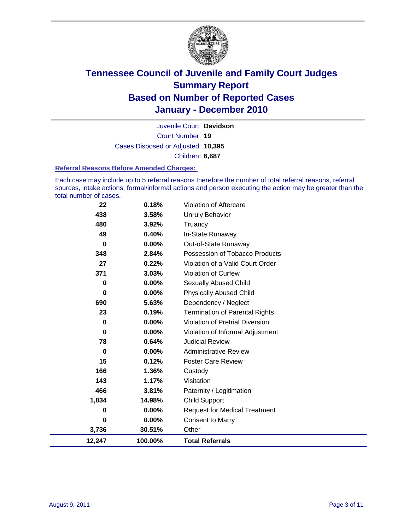

Court Number: **19** Juvenile Court: **Davidson** Cases Disposed or Adjusted: **10,395** Children: **6,687**

#### **Referral Reasons Before Amended Charges:**

Each case may include up to 5 referral reasons therefore the number of total referral reasons, referral sources, intake actions, formal/informal actions and person executing the action may be greater than the total number of cases.

| 12,247 | 100.00%  | <b>Total Referrals</b>                 |
|--------|----------|----------------------------------------|
| 3,736  | 30.51%   | Other                                  |
| 0      | 0.00%    | <b>Consent to Marry</b>                |
| 0      | 0.00%    | <b>Request for Medical Treatment</b>   |
| 1,834  | 14.98%   | <b>Child Support</b>                   |
| 466    | 3.81%    | Paternity / Legitimation               |
| 143    | 1.17%    | Visitation                             |
| 166    | 1.36%    | Custody                                |
| 15     | 0.12%    | <b>Foster Care Review</b>              |
| 0      | $0.00\%$ | <b>Administrative Review</b>           |
| 78     | 0.64%    | <b>Judicial Review</b>                 |
| 0      | $0.00\%$ | Violation of Informal Adjustment       |
| 0      | 0.00%    | <b>Violation of Pretrial Diversion</b> |
| 23     | 0.19%    | <b>Termination of Parental Rights</b>  |
| 690    | 5.63%    | Dependency / Neglect                   |
| 0      | 0.00%    | <b>Physically Abused Child</b>         |
| 0      | $0.00\%$ | <b>Sexually Abused Child</b>           |
| 371    | 3.03%    | <b>Violation of Curfew</b>             |
| 27     | 0.22%    | Violation of a Valid Court Order       |
| 348    | 2.84%    | Possession of Tobacco Products         |
| 0      | $0.00\%$ | Out-of-State Runaway                   |
| 49     | 0.40%    | In-State Runaway                       |
| 480    | 3.92%    | Truancy                                |
| 438    | 3.58%    | <b>Unruly Behavior</b>                 |
| 22     | 0.18%    | Violation of Aftercare                 |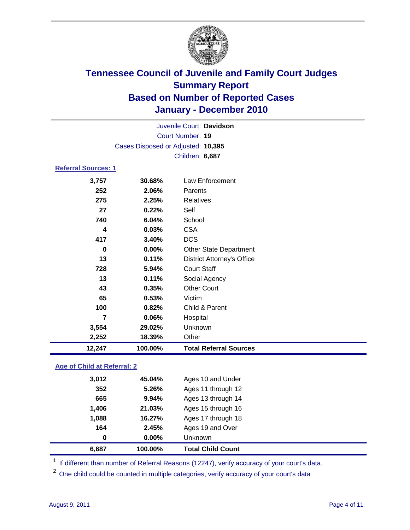

|                            | Juvenile Court: Davidson           |                                   |  |  |  |  |
|----------------------------|------------------------------------|-----------------------------------|--|--|--|--|
|                            | <b>Court Number: 19</b>            |                                   |  |  |  |  |
|                            | Cases Disposed or Adjusted: 10,395 |                                   |  |  |  |  |
|                            | Children: 6,687                    |                                   |  |  |  |  |
| <b>Referral Sources: 1</b> |                                    |                                   |  |  |  |  |
| 3,757                      | 30.68%                             | Law Enforcement                   |  |  |  |  |
| 252                        | 2.06%                              | Parents                           |  |  |  |  |
| 275                        | 2.25%                              | <b>Relatives</b>                  |  |  |  |  |
| 27                         | 0.22%                              | Self                              |  |  |  |  |
| 740                        | 6.04%                              | School                            |  |  |  |  |
| 4                          | 0.03%                              | <b>CSA</b>                        |  |  |  |  |
| 417                        | 3.40%                              | <b>DCS</b>                        |  |  |  |  |
| 0                          | 0.00%                              | <b>Other State Department</b>     |  |  |  |  |
| 13                         | 0.11%                              | <b>District Attorney's Office</b> |  |  |  |  |
| 728                        | 5.94%                              | <b>Court Staff</b>                |  |  |  |  |
| 13                         | 0.11%                              | Social Agency                     |  |  |  |  |
| 43                         | 0.35%                              | <b>Other Court</b>                |  |  |  |  |
| 65                         | 0.53%                              | Victim                            |  |  |  |  |
| 100                        | 0.82%                              | Child & Parent                    |  |  |  |  |
| 7                          | 0.06%                              | Hospital                          |  |  |  |  |
| 3,554                      | 29.02%                             | Unknown                           |  |  |  |  |
| 2,252                      | 18.39%                             | Other                             |  |  |  |  |
| 12,247                     | 100.00%                            | <b>Total Referral Sources</b>     |  |  |  |  |

### **Age of Child at Referral: 2**

| 164<br>0 | 2.45%<br>$0.00\%$ | Ages 19 and Over<br><b>Unknown</b> |
|----------|-------------------|------------------------------------|
|          |                   |                                    |
|          |                   |                                    |
| 1,088    | 16.27%            | Ages 17 through 18                 |
| 1,406    | 21.03%            | Ages 15 through 16                 |
| 665      | 9.94%             | Ages 13 through 14                 |
| 352      | 5.26%             | Ages 11 through 12                 |
| 3,012    | 45.04%            | Ages 10 and Under                  |
|          |                   |                                    |

<sup>1</sup> If different than number of Referral Reasons (12247), verify accuracy of your court's data.

<sup>2</sup> One child could be counted in multiple categories, verify accuracy of your court's data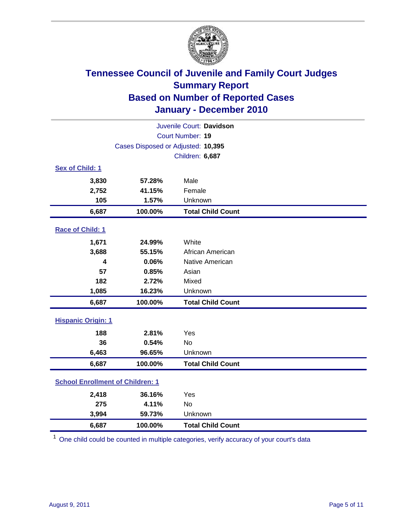

| Juvenile Court: Davidson                |                                    |                          |  |  |
|-----------------------------------------|------------------------------------|--------------------------|--|--|
|                                         |                                    | Court Number: 19         |  |  |
|                                         | Cases Disposed or Adjusted: 10,395 |                          |  |  |
|                                         |                                    | Children: 6,687          |  |  |
| Sex of Child: 1                         |                                    |                          |  |  |
| 3,830                                   | 57.28%                             | Male                     |  |  |
| 2,752                                   | 41.15%                             | Female                   |  |  |
| 105                                     | 1.57%                              | Unknown                  |  |  |
| 6,687                                   | 100.00%                            | <b>Total Child Count</b> |  |  |
| Race of Child: 1                        |                                    |                          |  |  |
| 1,671                                   | 24.99%                             | White                    |  |  |
| 3,688                                   | 55.15%                             | African American         |  |  |
| 4                                       | 0.06%                              | Native American          |  |  |
| 57                                      | 0.85%                              | Asian                    |  |  |
| 182                                     | 2.72%                              | Mixed                    |  |  |
| 1,085                                   | 16.23%                             | Unknown                  |  |  |
| 6,687                                   | 100.00%                            | <b>Total Child Count</b> |  |  |
| <b>Hispanic Origin: 1</b>               |                                    |                          |  |  |
| 188                                     | 2.81%                              | Yes                      |  |  |
| 36                                      | 0.54%                              | <b>No</b>                |  |  |
| 6,463                                   | 96.65%                             | Unknown                  |  |  |
| 6,687                                   | 100.00%                            | <b>Total Child Count</b> |  |  |
| <b>School Enrollment of Children: 1</b> |                                    |                          |  |  |
| 2,418                                   | 36.16%                             | Yes                      |  |  |
| 275                                     | 4.11%                              | No                       |  |  |
| 3,994                                   | 59.73%                             | Unknown                  |  |  |
| 6,687                                   | 100.00%                            | <b>Total Child Count</b> |  |  |

<sup>1</sup> One child could be counted in multiple categories, verify accuracy of your court's data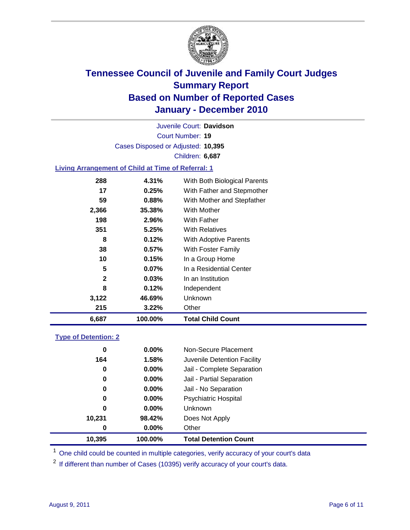

Court Number: **19** Juvenile Court: **Davidson** Cases Disposed or Adjusted: **10,395** Children: **6,687**

### **Living Arrangement of Child at Time of Referral: 1**

| 6,687        | 100.00%  | <b>Total Child Count</b>     |
|--------------|----------|------------------------------|
| 215          | 3.22%    | Other                        |
| 3,122        | 46.69%   | Unknown                      |
| 8            | 0.12%    | Independent                  |
| $\mathbf{2}$ | 0.03%    | In an Institution            |
| 5            | $0.07\%$ | In a Residential Center      |
| 10           | 0.15%    | In a Group Home              |
| 38           | 0.57%    | With Foster Family           |
| 8            | 0.12%    | <b>With Adoptive Parents</b> |
| 351          | 5.25%    | <b>With Relatives</b>        |
| 198          | 2.96%    | With Father                  |
| 2,366        | 35.38%   | With Mother                  |
| 59           | 0.88%    | With Mother and Stepfather   |
| 17           | 0.25%    | With Father and Stepmother   |
| 288          | 4.31%    | With Both Biological Parents |
|              |          |                              |

#### **Type of Detention: 2**

| 10,395 | 100.00%  | <b>Total Detention Count</b> |
|--------|----------|------------------------------|
| 0      | $0.00\%$ | Other                        |
| 10,231 | 98.42%   | Does Not Apply               |
| 0      | $0.00\%$ | <b>Unknown</b>               |
| 0      | 0.00%    | <b>Psychiatric Hospital</b>  |
| 0      | 0.00%    | Jail - No Separation         |
| 0      | $0.00\%$ | Jail - Partial Separation    |
| 0      | 0.00%    | Jail - Complete Separation   |
| 164    | 1.58%    | Juvenile Detention Facility  |
| 0      | $0.00\%$ | Non-Secure Placement         |
|        |          |                              |

<sup>1</sup> One child could be counted in multiple categories, verify accuracy of your court's data

<sup>2</sup> If different than number of Cases (10395) verify accuracy of your court's data.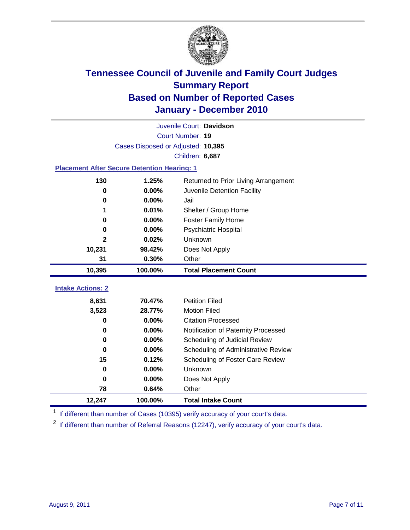

|                                                    | Juvenile Court: Davidson           |                                      |  |  |  |  |
|----------------------------------------------------|------------------------------------|--------------------------------------|--|--|--|--|
|                                                    | Court Number: 19                   |                                      |  |  |  |  |
|                                                    | Cases Disposed or Adjusted: 10,395 |                                      |  |  |  |  |
|                                                    | Children: 6,687                    |                                      |  |  |  |  |
| <b>Placement After Secure Detention Hearing: 1</b> |                                    |                                      |  |  |  |  |
| 130                                                | 1.25%                              | Returned to Prior Living Arrangement |  |  |  |  |
| 0                                                  | 0.00%                              | Juvenile Detention Facility          |  |  |  |  |
| 0                                                  | 0.00%                              | Jail                                 |  |  |  |  |
|                                                    | 0.01%                              | Shelter / Group Home                 |  |  |  |  |
| 0                                                  | 0.00%                              | Foster Family Home                   |  |  |  |  |
| $\bf{0}$                                           | 0.00%                              | Psychiatric Hospital                 |  |  |  |  |
| 2                                                  | 0.02%                              | Unknown                              |  |  |  |  |
| 10,231                                             | 98.42%                             | Does Not Apply                       |  |  |  |  |
| 31                                                 | 0.30%                              | Other                                |  |  |  |  |
| 10,395                                             | 100.00%                            | <b>Total Placement Count</b>         |  |  |  |  |
| <b>Intake Actions: 2</b>                           |                                    |                                      |  |  |  |  |
|                                                    |                                    |                                      |  |  |  |  |
| 8,631                                              | 70.47%                             | <b>Petition Filed</b>                |  |  |  |  |
| 3,523                                              | 28.77%                             | <b>Motion Filed</b>                  |  |  |  |  |
| $\bf{0}$                                           | 0.00%                              | <b>Citation Processed</b>            |  |  |  |  |
| 0                                                  | 0.00%                              | Notification of Paternity Processed  |  |  |  |  |
| 0                                                  | 0.00%                              | Scheduling of Judicial Review        |  |  |  |  |
| $\bf{0}$                                           | 0.00%                              | Scheduling of Administrative Review  |  |  |  |  |
| 15                                                 | 0.12%                              | Scheduling of Foster Care Review     |  |  |  |  |
| $\bf{0}$                                           | 0.00%                              | Unknown                              |  |  |  |  |
| $\mathbf 0$                                        | 0.00%                              | Does Not Apply                       |  |  |  |  |
| 78                                                 | 0.64%                              | Other                                |  |  |  |  |
| 12,247                                             | 100.00%                            | <b>Total Intake Count</b>            |  |  |  |  |

<sup>1</sup> If different than number of Cases (10395) verify accuracy of your court's data.

<sup>2</sup> If different than number of Referral Reasons (12247), verify accuracy of your court's data.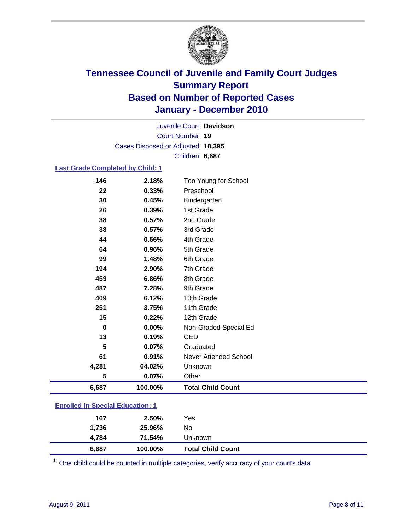

Court Number: **19** Juvenile Court: **Davidson** Cases Disposed or Adjusted: **10,395** Children: **6,687**

### **Last Grade Completed by Child: 1**

| 6,687     | 100.00%        | <b>Total Child Count</b>          |
|-----------|----------------|-----------------------------------|
| 5         | 0.07%          | Other                             |
| 4,281     | 64.02%         | Unknown                           |
| 61        | 0.91%          | <b>Never Attended School</b>      |
| 5         | 0.07%          | Graduated                         |
| 13        | 0.19%          | <b>GED</b>                        |
| 0         | 0.00%          | Non-Graded Special Ed             |
| 15        | 0.22%          | 12th Grade                        |
| 251       | 3.75%          | 11th Grade                        |
| 409       | 6.12%          | 10th Grade                        |
| 487       | 7.28%          | 9th Grade                         |
| 459       | 6.86%          | 8th Grade                         |
| 194       | 2.90%          | 7th Grade                         |
| 99        | 1.48%          | 6th Grade                         |
| 64        | 0.96%          | 5th Grade                         |
| 44        | 0.66%          | 4th Grade                         |
| 38        | 0.57%          | 3rd Grade                         |
| 38        | 0.57%          | 2nd Grade                         |
| 26        | 0.39%          | 1st Grade                         |
| 30        | 0.45%          | Kindergarten                      |
| 146<br>22 | 2.18%<br>0.33% | Too Young for School<br>Preschool |

| 6,687                                 | 100.00% | <b>Total Child Count</b> |  |  |
|---------------------------------------|---------|--------------------------|--|--|
| 4.784                                 | 71.54%  | Unknown                  |  |  |
| 1,736                                 | 25.96%  | No.                      |  |  |
| 167                                   | 2.50%   | Yes                      |  |  |
| $\mathbf{r}$ only a  opposite example |         |                          |  |  |

 $1$  One child could be counted in multiple categories, verify accuracy of your court's data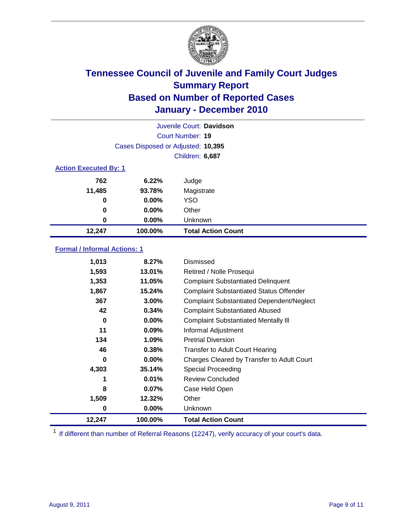

| Juvenile Court: Davidson     |                                    |                           |  |  |
|------------------------------|------------------------------------|---------------------------|--|--|
|                              |                                    | Court Number: 19          |  |  |
|                              | Cases Disposed or Adjusted: 10,395 |                           |  |  |
|                              | Children: 6,687                    |                           |  |  |
| <b>Action Executed By: 1</b> |                                    |                           |  |  |
| 762                          | 6.22%                              | Judge                     |  |  |
| 11,485                       | 93.78%                             | Magistrate                |  |  |
| 0                            | $0.00\%$                           | <b>YSO</b>                |  |  |
| 0                            | $0.00\%$                           | Other                     |  |  |
| 0                            | 0.00%                              | Unknown                   |  |  |
| 12,247                       | 100.00%                            | <b>Total Action Count</b> |  |  |

### **Formal / Informal Actions: 1**

| 1,013  | 8.27%    | Dismissed                                        |
|--------|----------|--------------------------------------------------|
| 1,593  | 13.01%   | Retired / Nolle Prosequi                         |
| 1,353  | 11.05%   | <b>Complaint Substantiated Delinquent</b>        |
| 1,867  | 15.24%   | <b>Complaint Substantiated Status Offender</b>   |
| 367    | 3.00%    | <b>Complaint Substantiated Dependent/Neglect</b> |
| 42     | 0.34%    | <b>Complaint Substantiated Abused</b>            |
| 0      | $0.00\%$ | <b>Complaint Substantiated Mentally III</b>      |
| 11     | 0.09%    | Informal Adjustment                              |
| 134    | $1.09\%$ | <b>Pretrial Diversion</b>                        |
| 46     | 0.38%    | <b>Transfer to Adult Court Hearing</b>           |
| 0      | $0.00\%$ | Charges Cleared by Transfer to Adult Court       |
| 4,303  | 35.14%   | <b>Special Proceeding</b>                        |
| 1      | 0.01%    | <b>Review Concluded</b>                          |
| 8      | $0.07\%$ | Case Held Open                                   |
| 1,509  | 12.32%   | Other                                            |
| 0      | $0.00\%$ | Unknown                                          |
| 12,247 | 100.00%  | <b>Total Action Count</b>                        |

<sup>1</sup> If different than number of Referral Reasons (12247), verify accuracy of your court's data.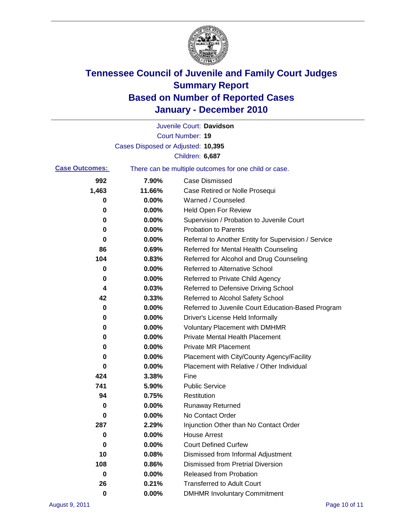

|                       |                                    | Juvenile Court: Davidson                              |
|-----------------------|------------------------------------|-------------------------------------------------------|
|                       |                                    | <b>Court Number: 19</b>                               |
|                       | Cases Disposed or Adjusted: 10,395 |                                                       |
|                       |                                    | Children: 6,687                                       |
| <b>Case Outcomes:</b> |                                    | There can be multiple outcomes for one child or case. |
| 992                   | 7.90%                              | <b>Case Dismissed</b>                                 |
| 1,463                 | 11.66%                             | Case Retired or Nolle Prosequi                        |
| 0                     | 0.00%                              | Warned / Counseled                                    |
| 0                     | 0.00%                              | Held Open For Review                                  |
| 0                     | 0.00%                              | Supervision / Probation to Juvenile Court             |
| 0                     | 0.00%                              | <b>Probation to Parents</b>                           |
| 0                     | 0.00%                              | Referral to Another Entity for Supervision / Service  |
| 86                    | 0.69%                              | Referred for Mental Health Counseling                 |
| 104                   | 0.83%                              | Referred for Alcohol and Drug Counseling              |
| 0                     | 0.00%                              | <b>Referred to Alternative School</b>                 |
| 0                     | 0.00%                              | Referred to Private Child Agency                      |
| 4                     | 0.03%                              | Referred to Defensive Driving School                  |
| 42                    | 0.33%                              | Referred to Alcohol Safety School                     |
| 0                     | 0.00%                              | Referred to Juvenile Court Education-Based Program    |
| 0                     | 0.00%                              | Driver's License Held Informally                      |
| 0                     | 0.00%                              | <b>Voluntary Placement with DMHMR</b>                 |
| 0                     | 0.00%                              | <b>Private Mental Health Placement</b>                |
| 0                     | 0.00%                              | <b>Private MR Placement</b>                           |
| 0                     | 0.00%                              | Placement with City/County Agency/Facility            |
| 0                     | 0.00%                              | Placement with Relative / Other Individual            |
| 424                   | 3.38%                              | Fine                                                  |
| 741                   | 5.90%                              | <b>Public Service</b>                                 |
| 94                    | 0.75%                              | Restitution                                           |
| 0                     | 0.00%                              | <b>Runaway Returned</b>                               |
| 0                     | 0.00%                              | No Contact Order                                      |
| 287                   | 2.29%                              | Injunction Other than No Contact Order                |
| 0                     | 0.00%                              | <b>House Arrest</b>                                   |
| 0                     | 0.00%                              | <b>Court Defined Curfew</b>                           |
| 10                    | 0.08%                              | Dismissed from Informal Adjustment                    |
| 108                   | 0.86%                              | <b>Dismissed from Pretrial Diversion</b>              |
| 0                     | 0.00%                              | Released from Probation                               |
| 26                    | 0.21%                              | <b>Transferred to Adult Court</b>                     |
| $\mathbf 0$           | $0.00\%$                           | <b>DMHMR Involuntary Commitment</b>                   |